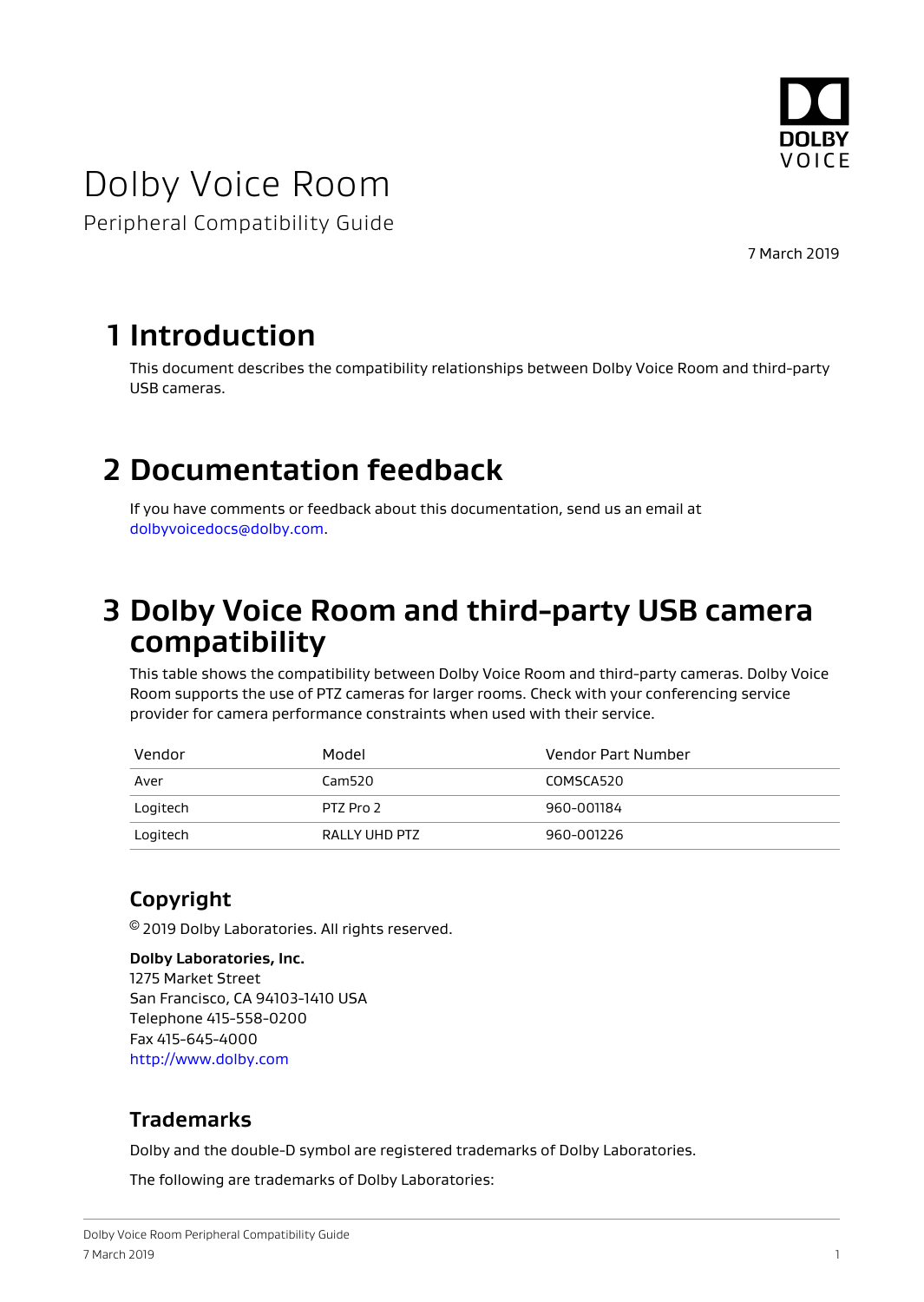

# Dolby Voice Room

Peripheral Compatibility Guide

7 March 2019

### **1 Introduction**

This document describes the compatibility relationships between Dolby Voice Room and third-party USB cameras.

## **2 Documentation feedback**

If you have comments or feedback about this documentation, send us an email at [dolbyvoicedocs@dolby.com.](mailto:dolbyvoicedocs@dolby.com)

### **3 Dolby Voice Room and third-party USB camera compatibility**

This table shows the compatibility between Dolby Voice Room and third-party cameras. Dolby Voice Room supports the use of PTZ cameras for larger rooms. Check with your conferencing service provider for camera performance constraints when used with their service.

| Vendor   | Model         | Vendor Part Number |
|----------|---------------|--------------------|
| Aver     | Cam520        | COMSCA520          |
| Logitech | PTZ Pro 2     | 960-001184         |
| Logitech | RALLY UHD PTZ | 960-001226         |

### **Copyright**

© 2019 Dolby Laboratories. All rights reserved.

**Dolby Laboratories, Inc.** 1275 Market Street San Francisco, CA 94103-1410 USA Telephone 415-558-0200 Fax 415-645-4000 <http://www.dolby.com>

#### **Trademarks**

Dolby and the double-D symbol are registered trademarks of Dolby Laboratories.

The following are trademarks of Dolby Laboratories: